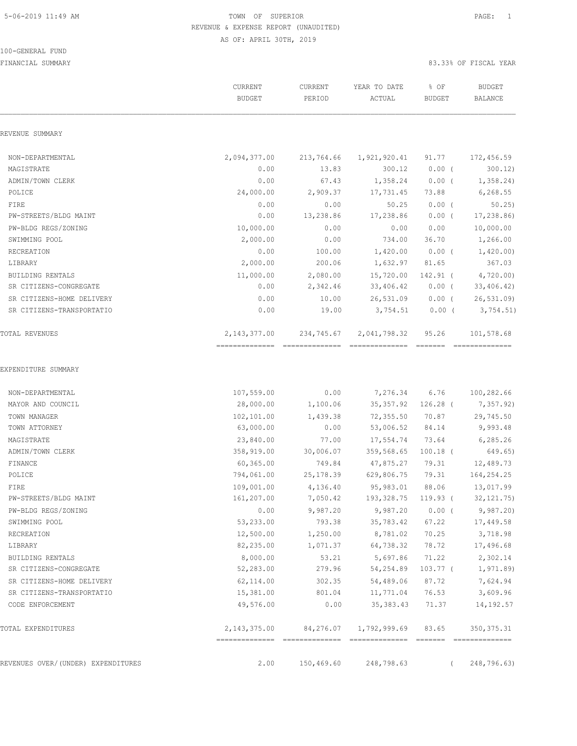### 100-GENERAL FUND

|                                    | CURRENT<br><b>BUDGET</b>                          | CURRENT<br>PERIOD | YEAR TO DATE<br>ACTUAL                     | % OF<br><b>BUDGET</b> | <b>BUDGET</b><br><b>BALANCE</b> |
|------------------------------------|---------------------------------------------------|-------------------|--------------------------------------------|-----------------------|---------------------------------|
| REVENUE SUMMARY                    |                                                   |                   |                                            |                       |                                 |
| NON-DEPARTMENTAL                   | 2,094,377.00                                      | 213,764.66        | 1,921,920.41                               | 91.77                 | 172,456.59                      |
| MAGISTRATE                         | 0.00                                              | 13.83             | 300.12                                     | $0.00$ (              | 300.12                          |
| ADMIN/TOWN CLERK                   | 0.00                                              | 67.43             | 1,358.24                                   | $0.00$ (              | 1,358.24)                       |
| POLICE                             | 24,000.00                                         | 2,909.37          | 17,731.45                                  | 73.88                 | 6, 268.55                       |
| FIRE                               | 0.00                                              | 0.00              | 50.25                                      | $0.00$ (              | 50.25                           |
| PW-STREETS/BLDG MAINT              | 0.00                                              | 13,238.86         | 17,238.86                                  | $0.00$ (              | 17,238.86)                      |
| PW-BLDG REGS/ZONING                | 10,000.00                                         | 0.00              | 0.00                                       | 0.00                  | 10,000.00                       |
| SWIMMING POOL                      | 2,000.00                                          | 0.00              | 734.00                                     | 36.70                 | 1,266.00                        |
| RECREATION                         | 0.00                                              | 100.00            | 1,420.00                                   | $0.00$ (              | 1,420.00)                       |
| LIBRARY                            | 2,000.00                                          | 200.06            | 1,632.97                                   | 81.65                 | 367.03                          |
| BUILDING RENTALS                   | 11,000.00                                         | 2,080.00          | 15,720.00                                  | 142.91 (              | 4,720.00                        |
| SR CITIZENS-CONGREGATE             | 0.00                                              | 2,342.46          | 33,406.42                                  | $0.00$ (              | 33,406.42)                      |
| SR CITIZENS-HOME DELIVERY          | 0.00                                              | 10.00             | 26,531.09                                  | $0.00$ (              | 26, 531.09                      |
| SR CITIZENS-TRANSPORTATIO          | 0.00                                              | 19.00             | 3,754.51                                   | 0.00(                 | 3,754.51)                       |
| TOTAL REVENUES                     | 2,143,377.00<br>==============================    | 234,745.67        | 2,041,798.32<br>- cooccooccoocco - cooccoo | 95.26                 | 101,578.68<br>--------------    |
| NON-DEPARTMENTAL                   | 107,559.00                                        | 0.00              | 7,276.34                                   | 6.76                  | 100,282.66                      |
| MAYOR AND COUNCIL                  | 28,000.00                                         | 1,100.06          |                                            | 35,357.92 126.28 (    | 7,357.92)                       |
| TOWN MANAGER                       | 102,101.00                                        | 1,439.38          | 72,355.50 70.87                            |                       | 29,745.50                       |
| TOWN ATTORNEY                      | 63,000.00                                         | 0.00              | 53,006.52                                  | 84.14                 | 9,993.48                        |
| MAGISTRATE                         | 23,840.00                                         | 77.00             | 17,554.74                                  | 73.64                 | 6,285.26                        |
| ADMIN/TOWN CLERK                   | 358,919.00                                        | 30,006.07         | 359,568.65 100.18 (                        |                       | 649.65)                         |
| <b>FINANCE</b>                     | 60,365.00                                         | 749.84            | 47,875.27                                  | 79.31                 | 12,489.73                       |
| POLICE                             | 794,061.00                                        | 25, 178.39        | 629,806.75                                 | 79.31                 | 164,254.25                      |
| FIRE                               | 109,001.00                                        | 4,136.40          | 95,983.01                                  | 88.06                 | 13,017.99                       |
| PW-STREETS/BLDG MAINT              | 161,207.00                                        | 7,050.42          | 193,328.75 119.93 (                        |                       | 32, 121.75)                     |
| PW-BLDG REGS/ZONING                | 0.00                                              | 9,987.20          | 9,987.20                                   | $0.00$ (              | 9,987.20                        |
| SWIMMING POOL                      | 53,233.00                                         | 793.38            | 35,783.42                                  | 67.22                 | 17,449.58                       |
| RECREATION                         | 12,500.00                                         | 1,250.00          | 8,781.02                                   | 70.25                 | 3,718.98                        |
| LIBRARY                            | 82,235.00                                         | 1,071.37          | 64,738.32                                  | 78.72                 | 17,496.68                       |
| BUILDING RENTALS                   | 8,000.00                                          | 53.21             | 5,697.86                                   | 71.22                 | 2,302.14                        |
| SR CITIZENS-CONGREGATE             | 52,283.00                                         | 279.96            | 54,254.89                                  | 103.77 (              | 1,971.89)                       |
| SR CITIZENS-HOME DELIVERY          | 62,114.00                                         | 302.35            | 54,489.06                                  | 87.72                 | 7,624.94                        |
| SR CITIZENS-TRANSPORTATIO          | 15,381.00                                         | 801.04            | 11,771.04                                  | 76.53                 | 3,609.96                        |
| CODE ENFORCEMENT                   | 49,576.00                                         | 0.00              | 35, 383.43                                 | 71.37                 | 14,192.57                       |
| TOTAL EXPENDITURES                 | 2, 143, 375.00<br>=============================== | 84,276.07         | 1,792,999.69                               | 83.65                 | 350, 375.31                     |
| REVENUES OVER/(UNDER) EXPENDITURES | 2.00                                              | 150,469.60        | 248,798.63                                 | $\left($              | 248,796.63)                     |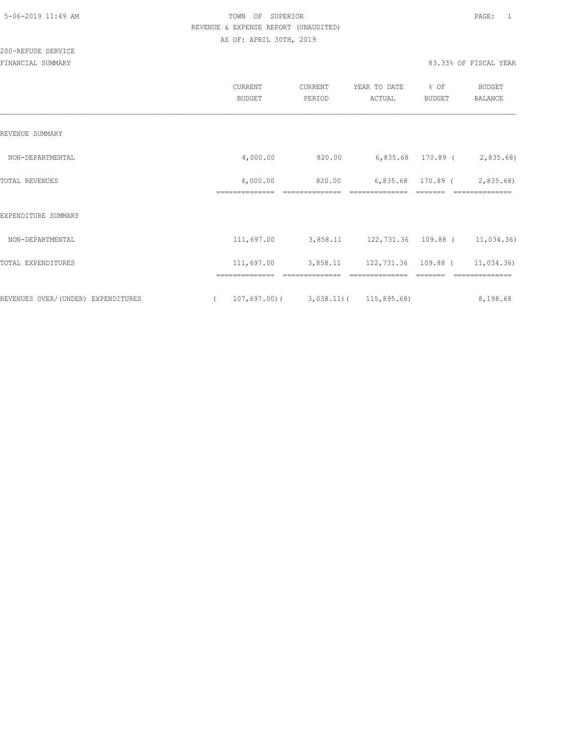|                                    | CURRENT<br><b>BUDGET</b>   | CURRENT<br>PERIOD                       | YEAR TO DATE<br>ACTUAL       | % OF<br><b>BUDGET</b> | <b>BUDGET</b><br>BALANCE    |
|------------------------------------|----------------------------|-----------------------------------------|------------------------------|-----------------------|-----------------------------|
| REVENUE SUMMARY                    |                            |                                         |                              |                       |                             |
| NON-DEPARTMENTAL                   | 4,000.00                   | 820.00                                  |                              |                       | 6,835.68 170.89 ( 2,835.68) |
| TOTAL REVENUES                     | 4,000.00<br>============== | 820.00<br>==============                |                              | 6,835.68 170.89 (     | 2,835.68                    |
| EXPENDITURE SUMMARY                |                            |                                         |                              |                       |                             |
| NON-DEPARTMENTAL                   | 111,697.00                 | 3,858.11 122,731.36 109.88 ( 11,034.36) |                              |                       |                             |
| TOTAL EXPENDITURES                 | 111,697.00                 |                                         | 3,858.11 122,731.36 109.88 ( |                       | 11,034.36)                  |
| REVENUES OVER/(UNDER) EXPENDITURES | 107,697.00)(               | 3,038.11) (115,895.68)                  |                              |                       | 8,198.68                    |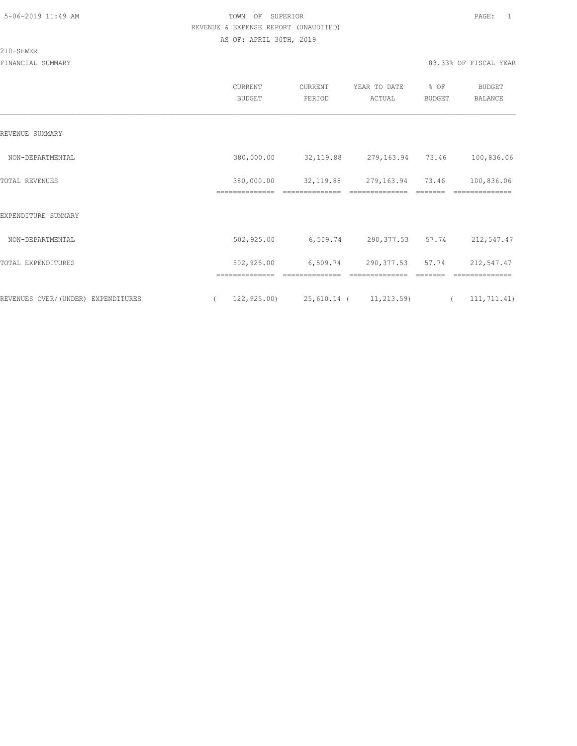#### 210-SEWER

|                                    | CURRENT<br><b>BUDGET</b>                  | CURRENT<br>PERIOD                       | YEAR TO DATE<br>ACTUAL | % OF<br>BUDGET                  | <b>BUDGET</b><br><b>BALANCE</b> |  |
|------------------------------------|-------------------------------------------|-----------------------------------------|------------------------|---------------------------------|---------------------------------|--|
| REVENUE SUMMARY                    |                                           |                                         |                        |                                 |                                 |  |
| NON-DEPARTMENTAL                   | 380,000.00                                | 32, 119.88                              | 279,163.94 73.46       |                                 | 100,836.06                      |  |
| TOTAL REVENUES                     | 380,000.00<br>==============              | 32, 119.88                              | 279,163.94             | 73.46                           | 100,836.06<br>==========        |  |
| EXPENDITURE SUMMARY                |                                           |                                         |                        |                                 |                                 |  |
| NON-DEPARTMENTAL                   | 502,925.00                                | 6,509.74                                | 290,377.53 57.74       |                                 | 212,547.47                      |  |
| TOTAL EXPENDITURES                 | 502,925.00                                | 6,509.74                                | 290, 377.53 57.74      |                                 | 212,547.47                      |  |
| REVENUES OVER/(UNDER) EXPENDITURES | ==============<br>122, 925.00<br>$\left($ | ==============<br>25,610.14 (11,213.59) | ==============         | =======<br>$\sim$ $\sim$ $\sim$ | ==============<br>111,711.41)   |  |
|                                    |                                           |                                         |                        |                                 |                                 |  |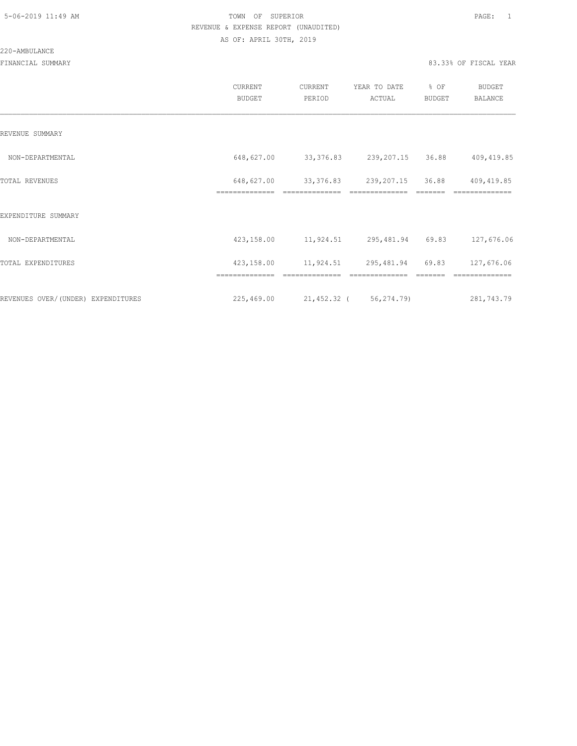#### 220-AMBULANCE

|                                    | <b>CURRENT</b><br><b>BUDGET</b> | CURRENT<br>PERIOD | YEAR TO DATE<br>ACTUAL     | % OF<br>BUDGET | <b>BUDGET</b><br>BALANCE |
|------------------------------------|---------------------------------|-------------------|----------------------------|----------------|--------------------------|
| REVENUE SUMMARY                    |                                 |                   |                            |                |                          |
| NON-DEPARTMENTAL                   | 648,627.00                      | 33,376.83         | 239,207.15                 | 36.88          | 409, 419.85              |
| TOTAL REVENUES                     | 648,627.00                      |                   | 33, 376.83 239, 207.15     | 36.88          | 409,419.85               |
| EXPENDITURE SUMMARY                | ==============                  |                   |                            |                |                          |
| NON-DEPARTMENTAL                   | 423,158.00                      |                   | 11,924.51 295,481.94 69.83 |                | 127,676.06               |
| TOTAL EXPENDITURES                 | 423,158.00                      |                   | 11,924.51 295,481.94 69.83 |                | 127,676.06               |
|                                    | ==============                  | ==============    | ==============             |                | ==============           |
| REVENUES OVER/(UNDER) EXPENDITURES | 225,469.00                      |                   | 21,452.32 (56,274.79)      |                | 281,743.79               |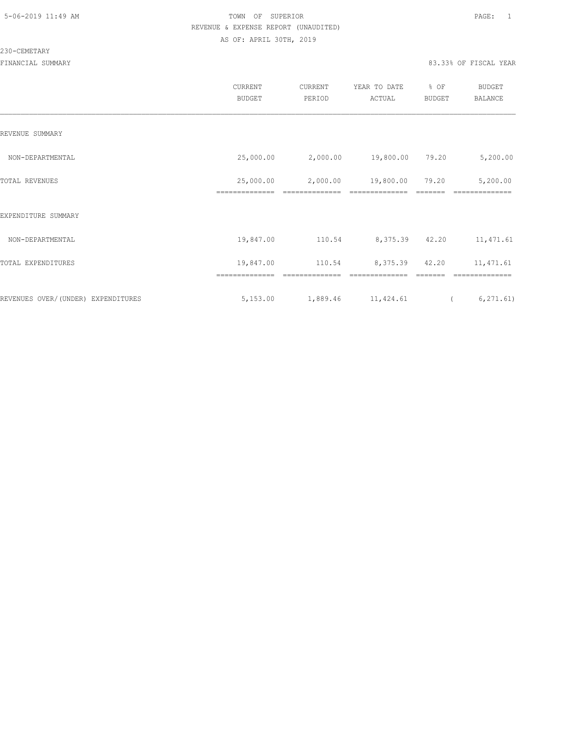#### 230-CEMETARY

|                                    | CURRENT<br>BUDGET           | CURRENT<br>PERIOD          | YEAR TO DATE<br>ACTUAL | % OF<br>BUDGET   | BUDGET<br><b>BALANCE</b>   |
|------------------------------------|-----------------------------|----------------------------|------------------------|------------------|----------------------------|
| REVENUE SUMMARY                    |                             |                            |                        |                  |                            |
| NON-DEPARTMENTAL                   | 25,000.00                   | 2,000.00                   | 19,800.00              | 79.20            | 5,200.00                   |
| TOTAL REVENUES                     | 25,000.00<br>============== | 2,000.00<br>============== | 19,800.00              | 79.20<br>======= | 5,200.00<br>============== |
| EXPENDITURE SUMMARY                |                             |                            |                        |                  |                            |
| NON-DEPARTMENTAL                   | 19,847.00                   | 110.54                     | 8,375.39 42.20         |                  | 11, 471.61                 |
| TOTAL EXPENDITURES                 | 19,847.00                   | 110.54                     | 8,375.39 42.20         |                  | 11,471.61                  |
| REVENUES OVER/(UNDER) EXPENDITURES | ==============<br>5,153.00  | 1,889.46 11,424.61         |                        | $\sqrt{2}$       | 6, 271.61)                 |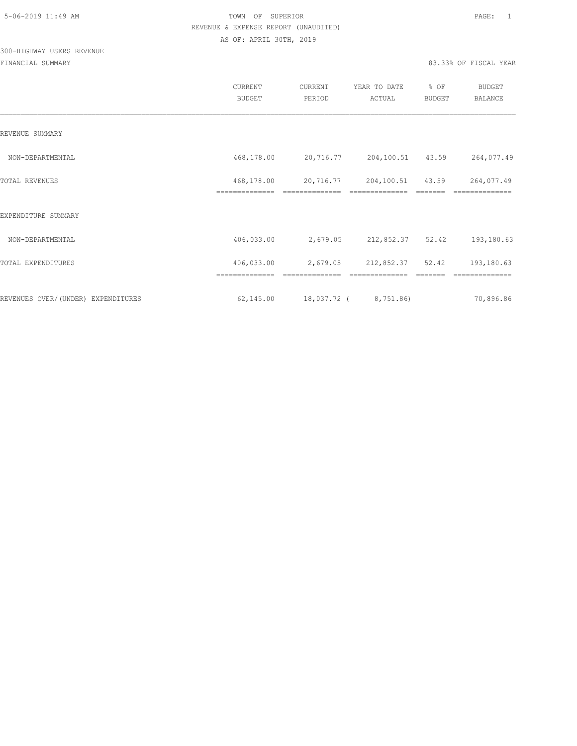## 300-HIGHWAY USERS REVENUE

|                                    | CURRENT<br><b>BUDGET</b>     | CURRENT<br>PERIOD | YEAR TO DATE<br>ACTUAL | % OF<br>BUDGET | <b>BUDGET</b><br><b>BALANCE</b> |
|------------------------------------|------------------------------|-------------------|------------------------|----------------|---------------------------------|
| REVENUE SUMMARY                    |                              |                   |                        |                |                                 |
| NON-DEPARTMENTAL                   | 468,178.00                   | 20,716.77         | 204,100.51 43.59       |                | 264,077.49                      |
| TOTAL REVENUES                     | 468,178.00<br>============== | 20,716.77         | 204,100.51             | 43.59          | 264,077.49                      |
| EXPENDITURE SUMMARY                |                              |                   |                        |                |                                 |
| NON-DEPARTMENTAL                   | 406,033.00                   | 2,679.05          | 212,852.37 52.42       |                | 193,180.63                      |
| TOTAL EXPENDITURES                 | 406,033.00                   | 2,679.05          | 212,852.37 52.42       |                | 193,180.63                      |
|                                    |                              |                   |                        |                |                                 |
| REVENUES OVER/(UNDER) EXPENDITURES | 62,145.00                    |                   | 18,037.72 ( 8,751.86)  |                | 70,896.86                       |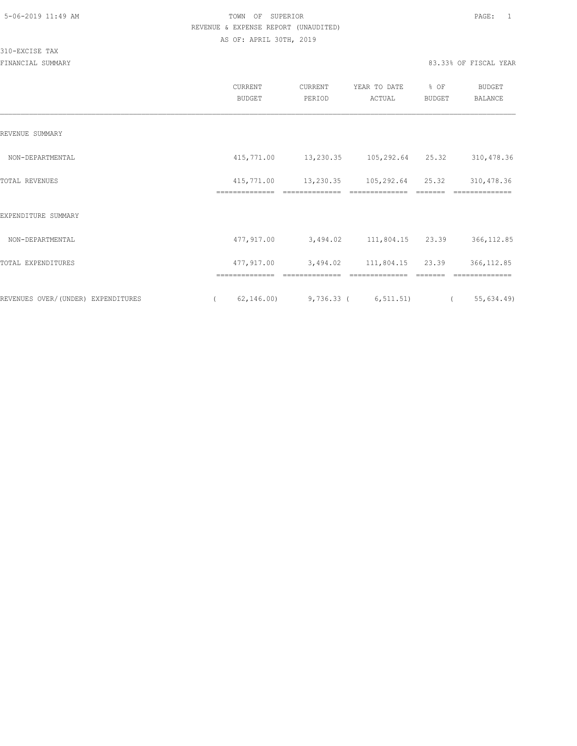310-EXCISE TAX

|                                    | CURRENT<br><b>BUDGET</b>     | CURRENT<br>PERIOD          | YEAR TO DATE<br>ACTUAL             | % OF<br>BUDGET                                                                                                                                                                                                                                                                                                                                                                                                                                         | <b>BUDGET</b><br>BALANCE      |
|------------------------------------|------------------------------|----------------------------|------------------------------------|--------------------------------------------------------------------------------------------------------------------------------------------------------------------------------------------------------------------------------------------------------------------------------------------------------------------------------------------------------------------------------------------------------------------------------------------------------|-------------------------------|
| REVENUE SUMMARY                    |                              |                            |                                    |                                                                                                                                                                                                                                                                                                                                                                                                                                                        |                               |
| NON-DEPARTMENTAL                   | 415,771.00                   | 13,230.35 105,292.64 25.32 |                                    |                                                                                                                                                                                                                                                                                                                                                                                                                                                        | 310, 478.36                   |
| <b>TOTAL REVENUES</b>              | 415,771.00<br>============== | 13,230.35                  | 105,292.64                         | 25.32                                                                                                                                                                                                                                                                                                                                                                                                                                                  | 310,478.36<br>==============  |
| EXPENDITURE SUMMARY                |                              |                            |                                    |                                                                                                                                                                                                                                                                                                                                                                                                                                                        |                               |
| NON-DEPARTMENTAL                   | 477,917.00                   |                            | 3,494.02 111,804.15 23.39          |                                                                                                                                                                                                                                                                                                                                                                                                                                                        | 366, 112.85                   |
| TOTAL EXPENDITURES                 | 477,917.00<br>============== | 3,494.02<br>============== | 111,804.15 23.39<br>============== | $\begin{tabular}{ll} \multicolumn{2}{c}{\textbf{2.5}} & \multicolumn{2}{c}{\textbf{2.5}} & \multicolumn{2}{c}{\textbf{2.5}} \\ \multicolumn{2}{c}{\textbf{2.5}} & \multicolumn{2}{c}{\textbf{2.5}} & \multicolumn{2}{c}{\textbf{2.5}} \\ \multicolumn{2}{c}{\textbf{3.5}} & \multicolumn{2}{c}{\textbf{4.5}} & \multicolumn{2}{c}{\textbf{5.5}} \\ \multicolumn{2}{c}{\textbf{5.5}} & \multicolumn{2}{c}{\textbf{6.5}} & \multicolumn{2}{c}{\textbf{7$ | 366, 112.85<br>============== |
| REVENUES OVER/(UNDER) EXPENDITURES | 62, 146.00<br>$\left($       |                            | $9,736.33$ ( $6,511.51$ ) (        |                                                                                                                                                                                                                                                                                                                                                                                                                                                        | 55,634.49)                    |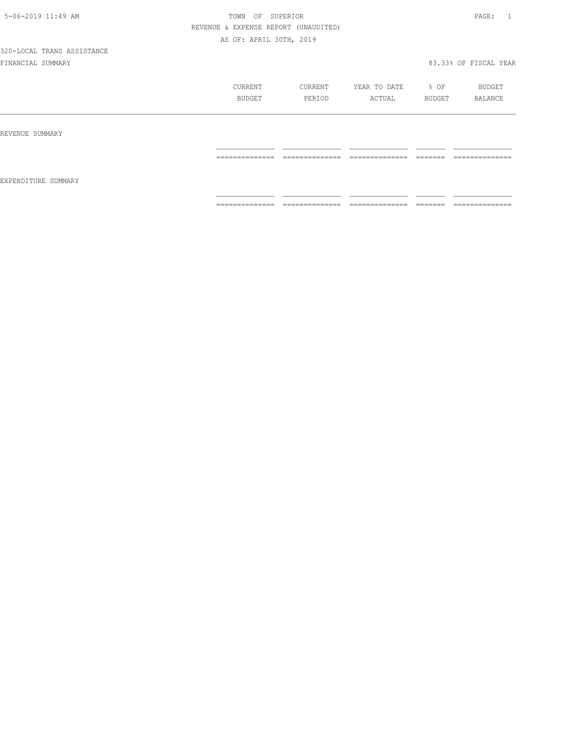|                     | CURRENT<br><b>BUDGET</b>         | CURRENT<br>PERIOD             | YEAR TO DATE<br>ACTUAL            | % OF<br>BUDGET      | BUDGET<br><b>BALANCE</b>          |
|---------------------|----------------------------------|-------------------------------|-----------------------------------|---------------------|-----------------------------------|
| REVENUE SUMMARY     |                                  |                               |                                   |                     |                                   |
| EXPENDITURE SUMMARY | --------------<br>______________ | ---------------<br>__________ | ______________                    | --------<br>_______ | ---------------<br>______________ |
|                     | ==============                   | ==============                | ______________<br>_______________ | --------<br>------- | ==============                    |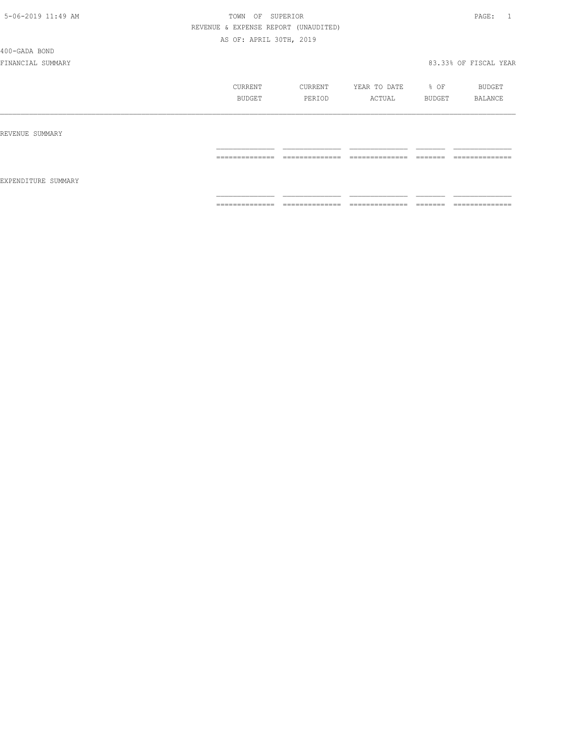400-GADA BOND

|                     | <b>CURRENT</b><br>BUDGET           | CURRENT<br>PERIOD                 | YEAR TO DATE<br>ACTUAL            | % OF<br>BUDGET      | BUDGET<br>BALANCE                 |
|---------------------|------------------------------------|-----------------------------------|-----------------------------------|---------------------|-----------------------------------|
| REVENUE SUMMARY     |                                    |                                   |                                   |                     |                                   |
|                     | ______________<br>---------------- | ______________<br>--------------- | ______________<br>--------------- | --------<br>------- | ______________<br>_______________ |
| EXPENDITURE SUMMARY |                                    |                                   |                                   |                     |                                   |
|                     | ==============                     | ==============                    | ==============                    | --------<br>------- | --------------<br>--------------- |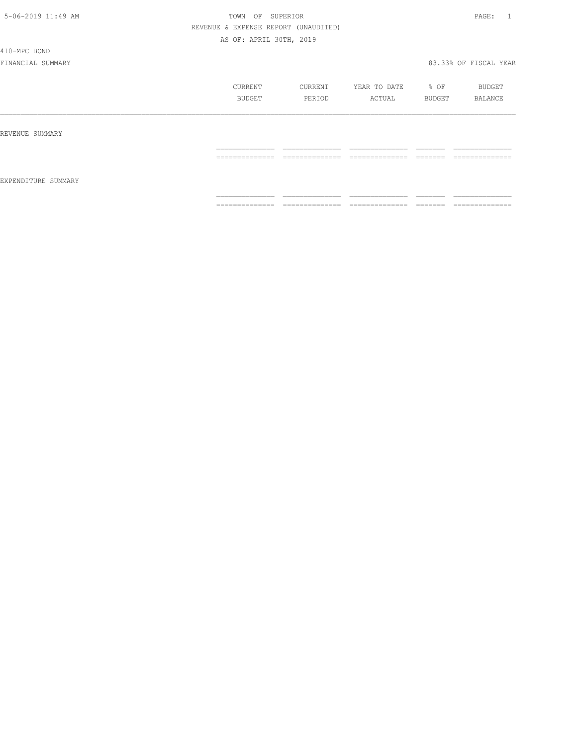410-MPC BOND

|                     | CURRENT         | CURRENT              | YEAR TO DATE        | $8$ OF               | BUDGET                            |
|---------------------|-----------------|----------------------|---------------------|----------------------|-----------------------------------|
|                     | BUDGET          | PERIOD               | ACTUAL              | BUDGET               | BALANCE                           |
| REVENUE SUMMARY     |                 |                      |                     |                      |                                   |
| EXPENDITURE SUMMARY | ==============  | ---------------<br>. | ______________<br>. | ________<br>________ | ______________<br>_______________ |
|                     | --------------- | ______________       | ______________      | --------             | --------------                    |
|                     | .               | .                    | -------------       | ______               | .                                 |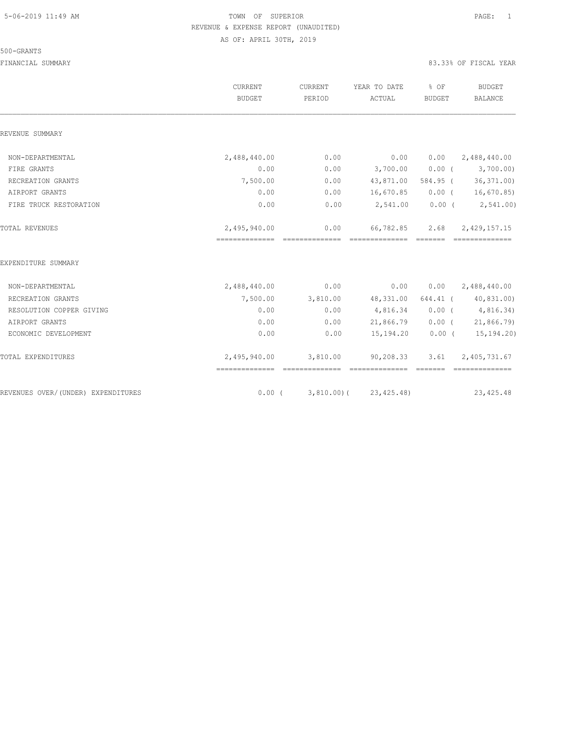#### 500-GRANTS

|                                    | CURRENT<br><b>BUDGET</b> | CURRENT<br>PERIOD | YEAR TO DATE<br>ACTUAL | % OF<br><b>BUDGET</b> | <b>BUDGET</b><br><b>BALANCE</b> |
|------------------------------------|--------------------------|-------------------|------------------------|-----------------------|---------------------------------|
| REVENUE SUMMARY                    |                          |                   |                        |                       |                                 |
| NON-DEPARTMENTAL                   | 2,488,440.00             | 0.00              | 0.00                   | 0.00                  | 2,488,440.00                    |
| FIRE GRANTS                        | 0.00                     | 0.00              | 3,700.00               | $0.00$ (              | 3,700.00)                       |
| RECREATION GRANTS                  | 7,500.00                 | 0.00              | 43,871.00              |                       | 584.95 (36,371.00)              |
| AIRPORT GRANTS                     | 0.00                     | 0.00              | 16,670.85              |                       | $0.00$ ( $16,670.85$ )          |
| FIRE TRUCK RESTORATION             | 0.00                     | 0.00              | 2,541.00               |                       | $0.00$ ( $2,541.00$ )           |
| TOTAL REVENUES                     | 2,495,940.00             | 0.00              | 66,782.85              | 2.68                  | 2,429,157.15                    |
| EXPENDITURE SUMMARY                |                          |                   |                        |                       |                                 |
| NON-DEPARTMENTAL                   | 2,488,440.00             | 0.00              | 0.00                   |                       | $0.00 \qquad 2,488,440.00$      |
| RECREATION GRANTS                  | 7,500.00                 | 3,810.00          | 48,331.00              |                       | 644.41 (40,831.00)              |
| RESOLUTION COPPER GIVING           | 0.00                     | 0.00              | 4,816.34               |                       | 0.00(4,816.34)                  |
| AIRPORT GRANTS                     | 0.00                     | 0.00              | 21,866.79              |                       | $0.00$ ( 21,866.79)             |
| ECONOMIC DEVELOPMENT               | 0.00                     | 0.00              | 15,194.20              | $0.00$ (              | 15,194.20)                      |
| TOTAL EXPENDITURES                 | 2,495,940.00             | 3,810.00          | 90,208.33              | 3.61                  | 2,405,731.67                    |
| REVENUES OVER/(UNDER) EXPENDITURES | $0.00$ (                 | 3,810.00)(        | 23, 425.48)            |                       | 23, 425.48                      |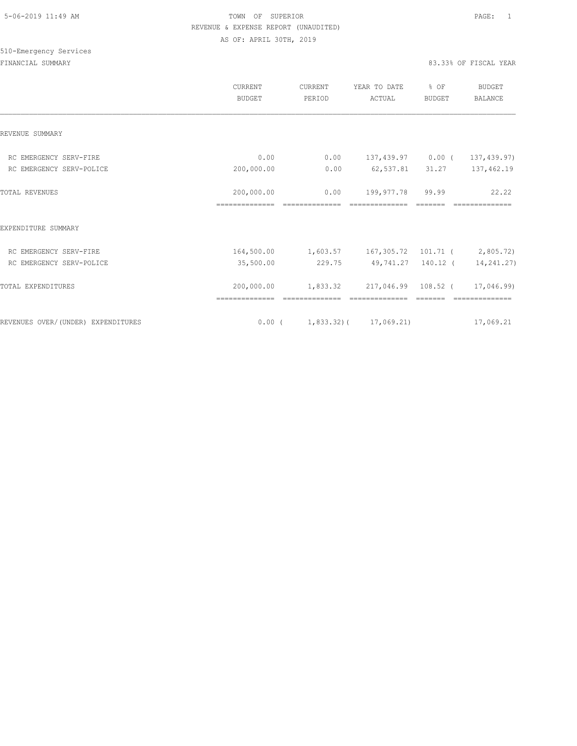# 510-Emergency Services

|                                    | CURRENT<br><b>BUDGET</b>     | CURRENT<br>PERIOD                                 | YEAR TO DATE<br>ACTUAL               | % OF<br><b>BUDGET</b> | <b>BUDGET</b><br><b>BALANCE</b> |
|------------------------------------|------------------------------|---------------------------------------------------|--------------------------------------|-----------------------|---------------------------------|
| REVENUE SUMMARY                    |                              |                                                   |                                      |                       |                                 |
| RC EMERGENCY SERV-FIRE             | 0.00                         |                                                   | $0.00$ 137,439.97 0.00 (             |                       | 137,439.97)                     |
| RC EMERGENCY SERV-POLICE           | 200,000.00                   | 0.00                                              | 62,537.81                            | 31.27                 | 137,462.19                      |
| <b>TOTAL REVENUES</b>              | 200,000.00<br>============== | 0.00                                              | 199,977.78                           | 99.99                 | 22.22                           |
| EXPENDITURE SUMMARY                |                              |                                                   |                                      |                       |                                 |
| RC EMERGENCY SERV-FIRE             |                              | 164,500.00 1,603.57 167,305.72 101.71 ( 2,805.72) |                                      |                       |                                 |
| RC EMERGENCY SERV-POLICE           | 35,500.00                    |                                                   | 229.75 49,741.27 140.12 ( 14,241.27) |                       |                                 |
| TOTAL EXPENDITURES                 | 200,000.00                   | 1,833.32                                          | 217,046.99 108.52 (                  |                       | 17,046.99)                      |
| REVENUES OVER/(UNDER) EXPENDITURES |                              | $0.00$ ( $1,833.32$ ) ( $17,069.21$ )             |                                      |                       | 17,069.21                       |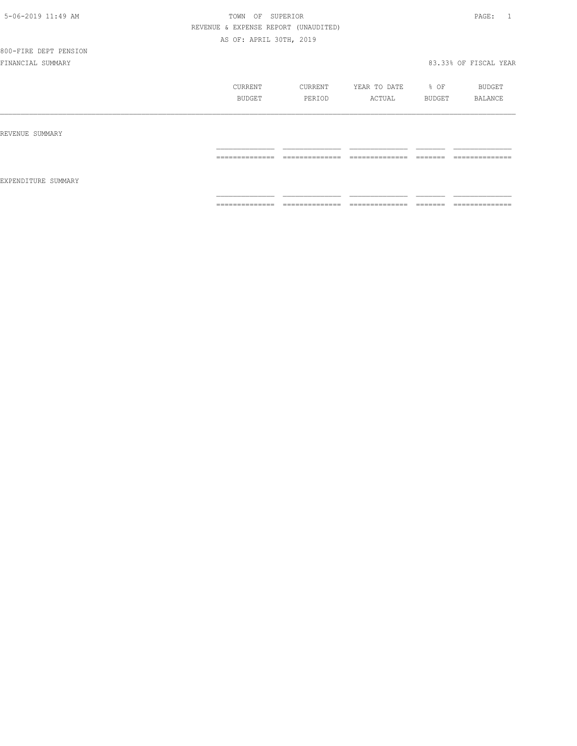## 800-FIRE DEPT PENSION

|                     | CURRENT<br>BUDGET | CURRENT<br>PERIOD                | YEAR TO DATE<br>ACTUAL | % OF<br>BUDGET      | BUDGET<br>BALANCE             |
|---------------------|-------------------|----------------------------------|------------------------|---------------------|-------------------------------|
| REVENUE SUMMARY     |                   |                                  |                        |                     |                               |
| EXPENDITURE SUMMARY | ==============    | --------------                   | ---------------        | -------             | --------------<br>----------- |
|                     | ==============    | ---------------<br>------------- | --------------<br>.    | --------<br>------- | --------------<br>.           |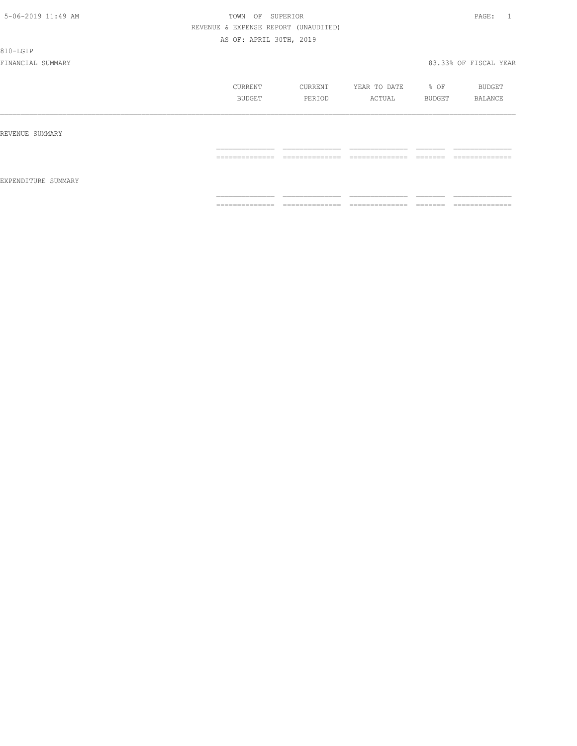810-LGIP

|                     | CURRENT<br>BUDGET                                                                                                                                                                                                                                                                                                                                                                                                                                                                      | CURRENT<br>PERIOD                 | YEAR TO DATE<br>ACTUAL                                                                                                                                                                                                                                                                                                                                                                                                                                                                       | % OF<br>BUDGET                                                                                                                                                                                                                                                                                                                                                                                                                                                                                                                                                    | BUDGET<br>BALANCE                   |
|---------------------|----------------------------------------------------------------------------------------------------------------------------------------------------------------------------------------------------------------------------------------------------------------------------------------------------------------------------------------------------------------------------------------------------------------------------------------------------------------------------------------|-----------------------------------|----------------------------------------------------------------------------------------------------------------------------------------------------------------------------------------------------------------------------------------------------------------------------------------------------------------------------------------------------------------------------------------------------------------------------------------------------------------------------------------------|-------------------------------------------------------------------------------------------------------------------------------------------------------------------------------------------------------------------------------------------------------------------------------------------------------------------------------------------------------------------------------------------------------------------------------------------------------------------------------------------------------------------------------------------------------------------|-------------------------------------|
| REVENUE SUMMARY     |                                                                                                                                                                                                                                                                                                                                                                                                                                                                                        |                                   |                                                                                                                                                                                                                                                                                                                                                                                                                                                                                              |                                                                                                                                                                                                                                                                                                                                                                                                                                                                                                                                                                   |                                     |
|                     | --------------<br>_______________                                                                                                                                                                                                                                                                                                                                                                                                                                                      | --------------<br>_______________ | --------------<br>.                                                                                                                                                                                                                                                                                                                                                                                                                                                                          | --------<br>________                                                                                                                                                                                                                                                                                                                                                                                                                                                                                                                                              | --------------<br>.                 |
| EXPENDITURE SUMMARY |                                                                                                                                                                                                                                                                                                                                                                                                                                                                                        |                                   |                                                                                                                                                                                                                                                                                                                                                                                                                                                                                              |                                                                                                                                                                                                                                                                                                                                                                                                                                                                                                                                                                   |                                     |
|                     | $\begin{array}{cccccccccc} \multicolumn{2}{c}{} & \multicolumn{2}{c}{} & \multicolumn{2}{c}{} & \multicolumn{2}{c}{} & \multicolumn{2}{c}{} & \multicolumn{2}{c}{} & \multicolumn{2}{c}{} & \multicolumn{2}{c}{} & \multicolumn{2}{c}{} & \multicolumn{2}{c}{} & \multicolumn{2}{c}{} & \multicolumn{2}{c}{} & \multicolumn{2}{c}{} & \multicolumn{2}{c}{} & \multicolumn{2}{c}{} & \multicolumn{2}{c}{} & \multicolumn{2}{c}{} & \multicolumn{2}{c}{} & \multicolumn{2}{c}{} & \mult$ | ______________<br>_______________ | $\begin{array}{c} \multicolumn{2}{c} {\textbf{1}} & \multicolumn{2}{c} {\textbf{2}} & \multicolumn{2}{c} {\textbf{3}} & \multicolumn{2}{c} {\textbf{4}} \\ \multicolumn{2}{c} {\textbf{5}} & \multicolumn{2}{c} {\textbf{6}} & \multicolumn{2}{c} {\textbf{7}} & \multicolumn{2}{c} {\textbf{8}} & \multicolumn{2}{c} {\textbf{9}} \\ \multicolumn{2}{c} {\textbf{1}} & \multicolumn{2}{c} {\textbf{1}} & \multicolumn{2}{c} {\textbf{1}} & \multicolumn{2}{c} {\textbf{1}} & \multicolumn{$ | $\begin{array}{c} \begin{array}{c} \begin{array}{c} \begin{array}{c} \begin{array}{c} \end{array}\\ \end{array}\\ \end{array} \end{array} \end{array} \end{array} \end{array} \end{array} \end{array} \begin{array}{c} \begin{array}{c} \begin{array}{c} \begin{array}{c} \end{array}\\ \end{array} \end{array} \end{array} \end{array} \begin{array}{c} \begin{array}{c} \begin{array}{c} \end{array}\\ \end{array} \end{array} \end{array} \begin{array}{c} \begin{array}{c} \begin{array}{c} \end{array}\\ \end{array} \end{array} \end{array} \begin{array}{$ | _______________<br>---------------- |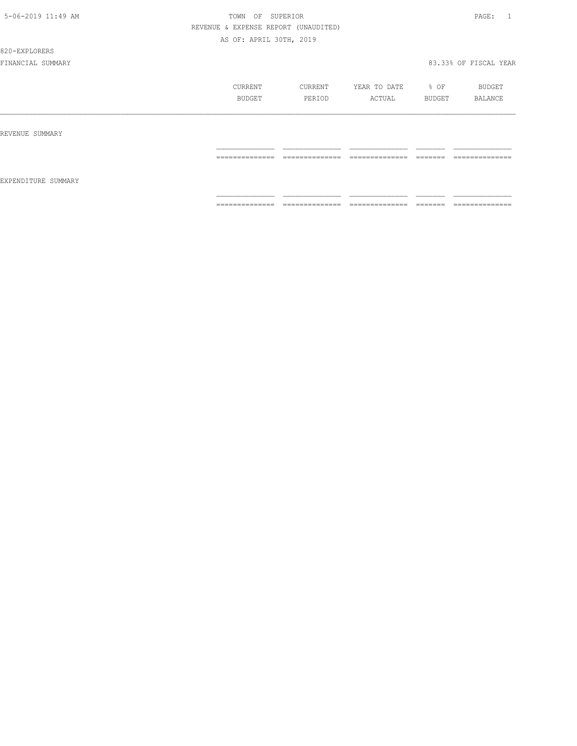#### 820-EXPLORERS

|                     | CURRENT                                                                                                                                                                                                                                                                                                                                                                                                                                                                                | CURRENT                                                                                                                                                                                                                                                                                                                                                                                                                                                       | YEAR TO DATE                                                                                                                                                                                                                                                                                                                                                                                                                                                                                 | $\div$ OF            | BUDGET                            |
|---------------------|----------------------------------------------------------------------------------------------------------------------------------------------------------------------------------------------------------------------------------------------------------------------------------------------------------------------------------------------------------------------------------------------------------------------------------------------------------------------------------------|---------------------------------------------------------------------------------------------------------------------------------------------------------------------------------------------------------------------------------------------------------------------------------------------------------------------------------------------------------------------------------------------------------------------------------------------------------------|----------------------------------------------------------------------------------------------------------------------------------------------------------------------------------------------------------------------------------------------------------------------------------------------------------------------------------------------------------------------------------------------------------------------------------------------------------------------------------------------|----------------------|-----------------------------------|
|                     | BUDGET                                                                                                                                                                                                                                                                                                                                                                                                                                                                                 | PERIOD                                                                                                                                                                                                                                                                                                                                                                                                                                                        | ACTUAL                                                                                                                                                                                                                                                                                                                                                                                                                                                                                       | BUDGET               | BALANCE                           |
| REVENUE SUMMARY     |                                                                                                                                                                                                                                                                                                                                                                                                                                                                                        |                                                                                                                                                                                                                                                                                                                                                                                                                                                               |                                                                                                                                                                                                                                                                                                                                                                                                                                                                                              |                      |                                   |
| EXPENDITURE SUMMARY | $\begin{array}{cccccccccc} \multicolumn{2}{c}{} & \multicolumn{2}{c}{} & \multicolumn{2}{c}{} & \multicolumn{2}{c}{} & \multicolumn{2}{c}{} & \multicolumn{2}{c}{} & \multicolumn{2}{c}{} & \multicolumn{2}{c}{} & \multicolumn{2}{c}{} & \multicolumn{2}{c}{} & \multicolumn{2}{c}{} & \multicolumn{2}{c}{} & \multicolumn{2}{c}{} & \multicolumn{2}{c}{} & \multicolumn{2}{c}{} & \multicolumn{2}{c}{} & \multicolumn{2}{c}{} & \multicolumn{2}{c}{} & \multicolumn{2}{c}{} & \mult$ | $\begin{array}{c} \multicolumn{2}{c} {\textbf{2.5}} \multicolumn{2}{c} {\textbf{2.5}} \multicolumn{2}{c} {\textbf{2.5}} \multicolumn{2}{c} {\textbf{2.5}} \multicolumn{2}{c} {\textbf{2.5}} \multicolumn{2}{c} {\textbf{2.5}} \multicolumn{2}{c} {\textbf{2.5}} \multicolumn{2}{c} {\textbf{2.5}} \multicolumn{2}{c} {\textbf{2.5}} \multicolumn{2}{c} {\textbf{2.5}} \multicolumn{2}{c} {\textbf{2.5}} \multicolumn{2}{c} {\textbf{2.5}} \multicolumn{2}{c}$ | $\begin{array}{c} \multicolumn{2}{c} {\textbf{1}} & \multicolumn{2}{c} {\textbf{2}} & \multicolumn{2}{c} {\textbf{3}} & \multicolumn{2}{c} {\textbf{4}} \\ \multicolumn{2}{c} {\textbf{5}} & \multicolumn{2}{c} {\textbf{6}} & \multicolumn{2}{c} {\textbf{7}} & \multicolumn{2}{c} {\textbf{8}} & \multicolumn{2}{c} {\textbf{9}} \\ \multicolumn{2}{c} {\textbf{1}} & \multicolumn{2}{c} {\textbf{1}} & \multicolumn{2}{c} {\textbf{1}} & \multicolumn{2}{c} {\textbf{1}} & \multicolumn{$ | --------<br>________ | --------------<br>_______________ |
|                     | --------------                                                                                                                                                                                                                                                                                                                                                                                                                                                                         | ______________                                                                                                                                                                                                                                                                                                                                                                                                                                                | ______________                                                                                                                                                                                                                                                                                                                                                                                                                                                                               | --------             | --------------                    |
|                     | _______________                                                                                                                                                                                                                                                                                                                                                                                                                                                                        | _______________                                                                                                                                                                                                                                                                                                                                                                                                                                               | ______________                                                                                                                                                                                                                                                                                                                                                                                                                                                                               | ________             | ______________                    |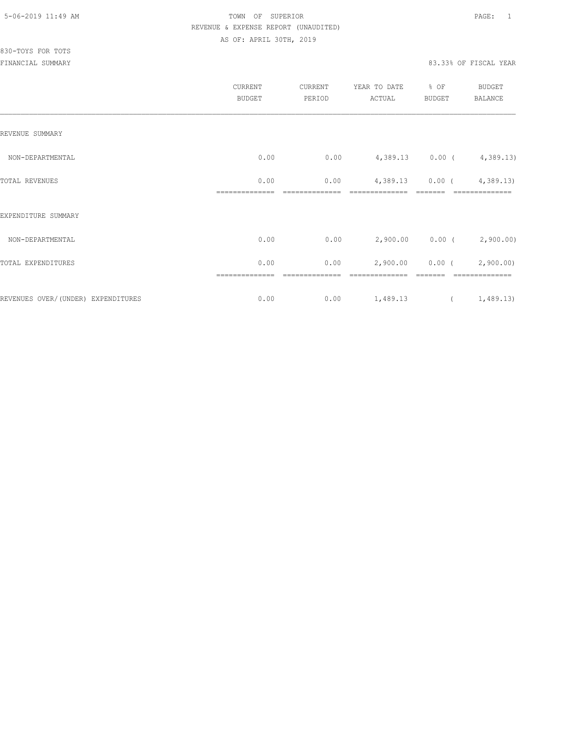|                                    | CURRENT<br><b>BUDGET</b> | CURRENT<br>PERIOD | YEAR TO DATE<br>ACTUAL      | % OF<br>BUDGET | BUDGET<br><b>BALANCE</b>    |
|------------------------------------|--------------------------|-------------------|-----------------------------|----------------|-----------------------------|
| REVENUE SUMMARY                    |                          |                   |                             |                |                             |
| NON-DEPARTMENTAL                   | 0.00                     | 0.00              | $4,389.13$ 0.00 ( 4,389.13) |                |                             |
| TOTAL REVENUES                     | 0.00                     | 0.00              | 4,389.13 0.00 (4,389.13)    |                |                             |
| EXPENDITURE SUMMARY                |                          |                   |                             |                |                             |
| NON-DEPARTMENTAL                   | 0.00                     | 0.00              |                             |                | $2,900.00$ 0.00 ( 2,900.00) |
| TOTAL EXPENDITURES                 | 0.00                     | 0.00              | 2,900.00                    |                | $0.00$ ( $2,900.00$ )       |
| REVENUES OVER/(UNDER) EXPENDITURES | 0.00                     | 0.00              | 1,489.13                    |                | (1, 489.13)                 |
|                                    |                          |                   |                             |                |                             |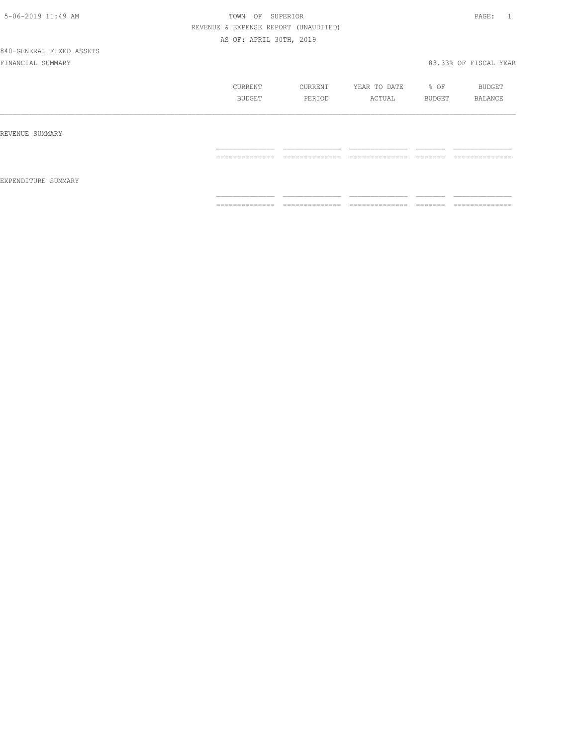# 840-GENERAL FIXED ASSETS

|                     | CURRENT<br>BUDGET                 | CURRENT<br>PERIOD                  | YEAR TO DATE<br>ACTUAL            | % OF<br>BUDGET       | BUDGET<br>BALANCE                 |
|---------------------|-----------------------------------|------------------------------------|-----------------------------------|----------------------|-----------------------------------|
| REVENUE SUMMARY     |                                   |                                    |                                   |                      |                                   |
|                     | ---------------<br>-------------- | ---------------<br>--------------- | ______________<br>--------------- | ________<br>-------  | --------------<br>--------------- |
| EXPENDITURE SUMMARY |                                   |                                    |                                   |                      |                                   |
|                     | ---------------<br>.              | ______________<br>-------------    | ______________<br>_______________ | --------<br>________ | ______________<br>.               |